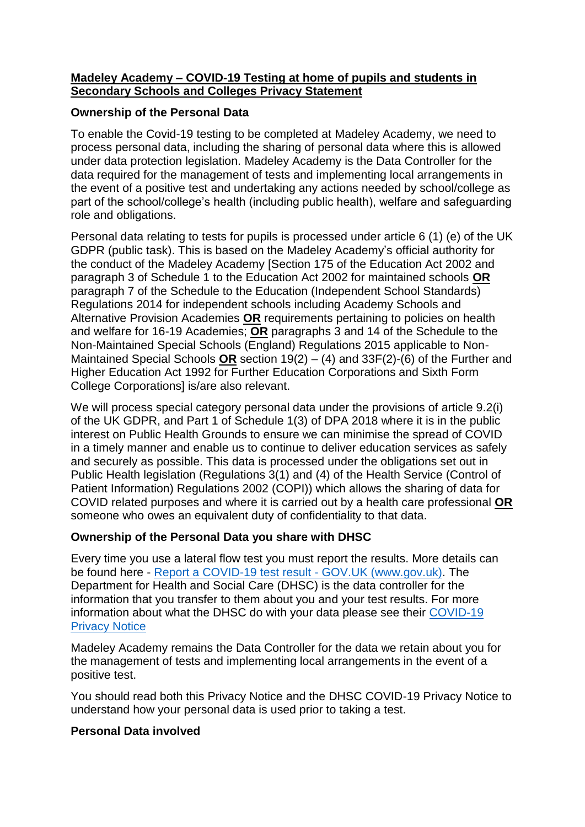### **Madeley Academy – COVID-19 Testing at home of pupils and students in Secondary Schools and Colleges Privacy Statement**

## **Ownership of the Personal Data**

To enable the Covid-19 testing to be completed at Madeley Academy, we need to process personal data, including the sharing of personal data where this is allowed under data protection legislation. Madeley Academy is the Data Controller for the data required for the management of tests and implementing local arrangements in the event of a positive test and undertaking any actions needed by school/college as part of the school/college's health (including public health), welfare and safeguarding role and obligations.

Personal data relating to tests for pupils is processed under article 6 (1) (e) of the UK GDPR (public task). This is based on the Madeley Academy's official authority for the conduct of the Madeley Academy [Section 175 of the Education Act 2002 and paragraph 3 of Schedule 1 to the Education Act 2002 for maintained schools **OR** paragraph 7 of the Schedule to the Education (Independent School Standards) Regulations 2014 for independent schools including Academy Schools and Alternative Provision Academies **OR** requirements pertaining to policies on health and welfare for 16-19 Academies; **OR** paragraphs 3 and 14 of the Schedule to the Non-Maintained Special Schools (England) Regulations 2015 applicable to Non-Maintained Special Schools **OR** section 19(2) – (4) and 33F(2)-(6) of the Further and Higher Education Act 1992 for Further Education Corporations and Sixth Form College Corporations] is/are also relevant.

We will process special category personal data under the provisions of article 9.2(i) of the UK GDPR, and Part 1 of Schedule 1(3) of DPA 2018 where it is in the public interest on Public Health Grounds to ensure we can minimise the spread of COVID in a timely manner and enable us to continue to deliver education services as safely and securely as possible. This data is processed under the obligations set out in Public Health legislation (Regulations 3(1) and (4) of the Health Service (Control of Patient Information) Regulations 2002 (COPI)) which allows the sharing of data for COVID related purposes and where it is carried out by a health care professional **OR** someone who owes an equivalent duty of confidentiality to that data.

### **Ownership of the Personal Data you share with DHSC**

Every time you use a lateral flow test you must report the results. More details can be found here - [Report a COVID-19 test result -](https://www.gov.uk/report-covid19-result) GOV.UK (www.gov.uk). The Department for Health and Social Care (DHSC) is the data controller for the information that you transfer to them about you and your test results. For more information about what the DHSC do with your data please see their [COVID-19](https://www.gov.uk/government/publications/coronavirus-covid-19-testing-privacy-information)  [Privacy Notice](https://www.gov.uk/government/publications/coronavirus-covid-19-testing-privacy-information)

Madeley Academy remains the Data Controller for the data we retain about you for the management of tests and implementing local arrangements in the event of a positive test.

You should read both this Privacy Notice and the DHSC COVID-19 Privacy Notice to understand how your personal data is used prior to taking a test.

### **Personal Data involved**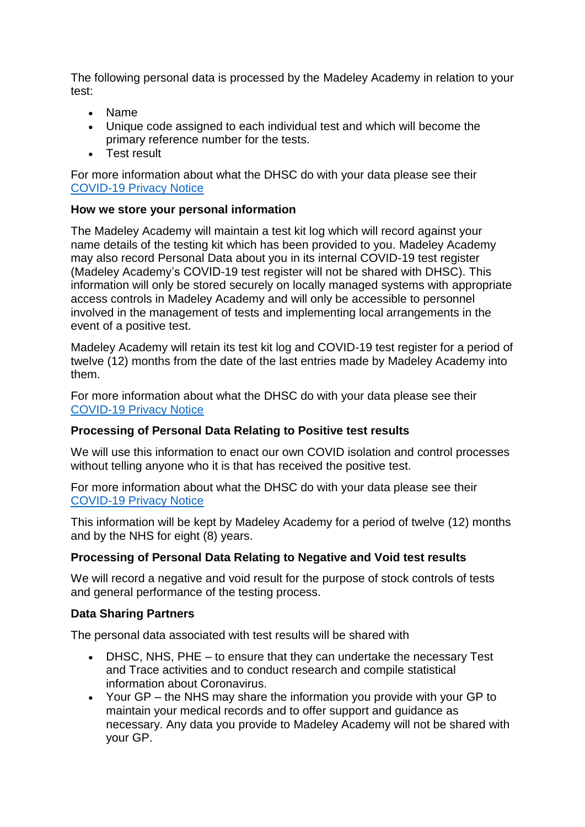The following personal data is processed by the Madeley Academy in relation to your test:

- Name
- Unique code assigned to each individual test and which will become the primary reference number for the tests.
- Test result

For more information about what the DHSC do with your data please see their [COVID-19 Privacy Notice](https://www.gov.uk/government/publications/coronavirus-covid-19-testing-privacy-information)

### **How we store your personal information**

The Madeley Academy will maintain a test kit log which will record against your name details of the testing kit which has been provided to you. Madeley Academy may also record Personal Data about you in its internal COVID-19 test register (Madeley Academy's COVID-19 test register will not be shared with DHSC). This information will only be stored securely on locally managed systems with appropriate access controls in Madeley Academy and will only be accessible to personnel involved in the management of tests and implementing local arrangements in the event of a positive test.

Madeley Academy will retain its test kit log and COVID-19 test register for a period of twelve (12) months from the date of the last entries made by Madeley Academy into them.

For more information about what the DHSC do with your data please see their [COVID-19 Privacy Notice](https://www.gov.uk/government/publications/coronavirus-covid-19-testing-privacy-information)

### **Processing of Personal Data Relating to Positive test results**

We will use this information to enact our own COVID isolation and control processes without telling anyone who it is that has received the positive test.

For more information about what the DHSC do with your data please see their [COVID-19 Privacy Notice](https://www.gov.uk/government/publications/coronavirus-covid-19-testing-privacy-information)

This information will be kept by Madeley Academy for a period of twelve (12) months and by the NHS for eight (8) years.

# **Processing of Personal Data Relating to Negative and Void test results**

We will record a negative and void result for the purpose of stock controls of tests and general performance of the testing process.

# **Data Sharing Partners**

The personal data associated with test results will be shared with

- DHSC, NHS, PHE to ensure that they can undertake the necessary Test and Trace activities and to conduct research and compile statistical information about Coronavirus.
- Your GP the NHS may share the information you provide with your GP to maintain your medical records and to offer support and guidance as necessary. Any data you provide to Madeley Academy will not be shared with your GP.